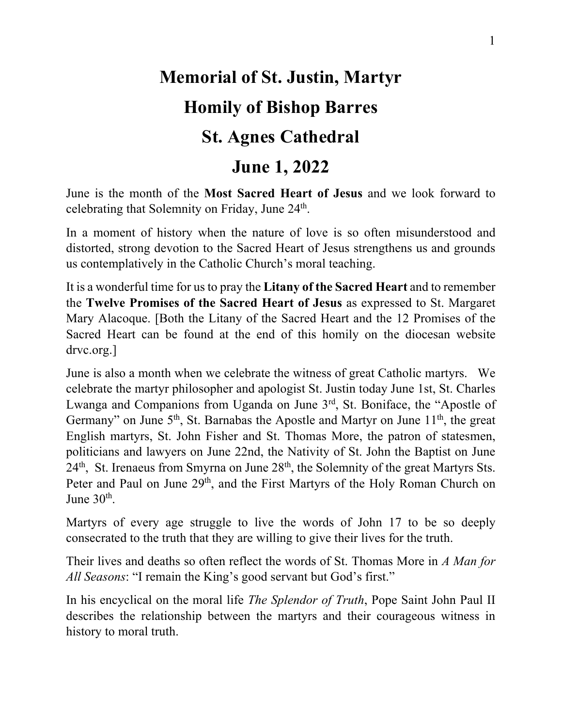### **Memorial of St. Justin, Martyr Homily of Bishop Barres St. Agnes Cathedral June 1, 2022**

June is the month of the **Most Sacred Heart of Jesus** and we look forward to celebrating that Solemnity on Friday, June 24<sup>th</sup>.

In a moment of history when the nature of love is so often misunderstood and distorted, strong devotion to the Sacred Heart of Jesus strengthens us and grounds us contemplatively in the Catholic Church's moral teaching.

It is a wonderful time for us to pray the **Litany of the Sacred Heart** and to remember the **Twelve Promises of the Sacred Heart of Jesus** as expressed to St. Margaret Mary Alacoque. [Both the Litany of the Sacred Heart and the 12 Promises of the Sacred Heart can be found at the end of this homily on the diocesan website drvc.org.]

June is also a month when we celebrate the witness of great Catholic martyrs. We celebrate the martyr philosopher and apologist St. Justin today June 1st, St. Charles Lwanga and Companions from Uganda on June  $3<sup>rd</sup>$ , St. Boniface, the "Apostle of Germany" on June  $5<sup>th</sup>$ , St. Barnabas the Apostle and Martyr on June  $11<sup>th</sup>$ , the great English martyrs, St. John Fisher and St. Thomas More, the patron of statesmen, politicians and lawyers on June 22nd, the Nativity of St. John the Baptist on June  $24<sup>th</sup>$ , St. Irenaeus from Smyrna on June  $28<sup>th</sup>$ , the Solemnity of the great Martyrs Sts. Peter and Paul on June 29<sup>th</sup>, and the First Martyrs of the Holy Roman Church on June  $30<sup>th</sup>$ .

Martyrs of every age struggle to live the words of John 17 to be so deeply consecrated to the truth that they are willing to give their lives for the truth.

Their lives and deaths so often reflect the words of St. Thomas More in *A Man for All Seasons*: "I remain the King's good servant but God's first."

In his encyclical on the moral life *The Splendor of Truth*, Pope Saint John Paul II describes the relationship between the martyrs and their courageous witness in history to moral truth.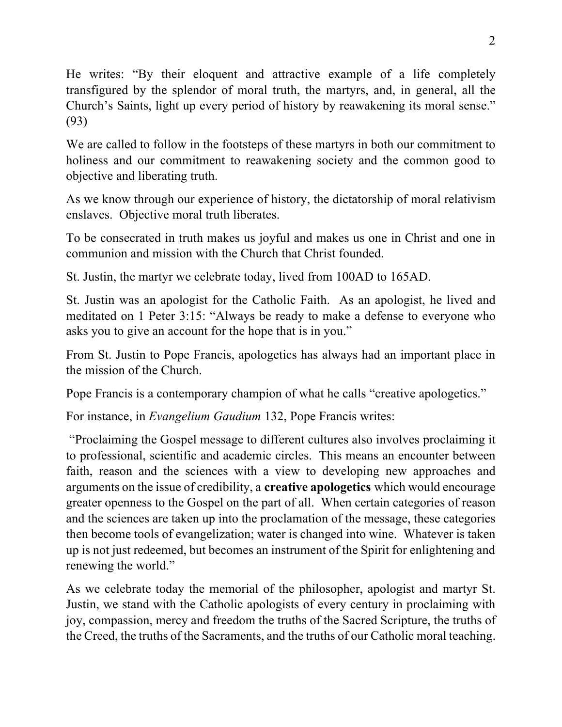He writes: "By their eloquent and attractive example of a life completely transfigured by the splendor of moral truth, the martyrs, and, in general, all the Church's Saints, light up every period of history by reawakening its moral sense." (93)

We are called to follow in the footsteps of these martyrs in both our commitment to holiness and our commitment to reawakening society and the common good to objective and liberating truth.

As we know through our experience of history, the dictatorship of moral relativism enslaves. Objective moral truth liberates.

To be consecrated in truth makes us joyful and makes us one in Christ and one in communion and mission with the Church that Christ founded.

St. Justin, the martyr we celebrate today, lived from 100AD to 165AD.

St. Justin was an apologist for the Catholic Faith. As an apologist, he lived and meditated on 1 Peter 3:15: "Always be ready to make a defense to everyone who asks you to give an account for the hope that is in you."

From St. Justin to Pope Francis, apologetics has always had an important place in the mission of the Church.

Pope Francis is a contemporary champion of what he calls "creative apologetics."

For instance, in *Evangelium Gaudium* 132, Pope Francis writes:

"Proclaiming the Gospel message to different cultures also involves proclaiming it to professional, scientific and academic circles. This means an encounter between faith, reason and the sciences with a view to developing new approaches and arguments on the issue of credibility, a **creative apologetics** which would encourage greater openness to the Gospel on the part of all. When certain categories of reason and the sciences are taken up into the proclamation of the message, these categories then become tools of evangelization; water is changed into wine. Whatever is taken up is not just redeemed, but becomes an instrument of the Spirit for enlightening and renewing the world."

As we celebrate today the memorial of the philosopher, apologist and martyr St. Justin, we stand with the Catholic apologists of every century in proclaiming with joy, compassion, mercy and freedom the truths of the Sacred Scripture, the truths of the Creed, the truths of the Sacraments, and the truths of our Catholic moral teaching.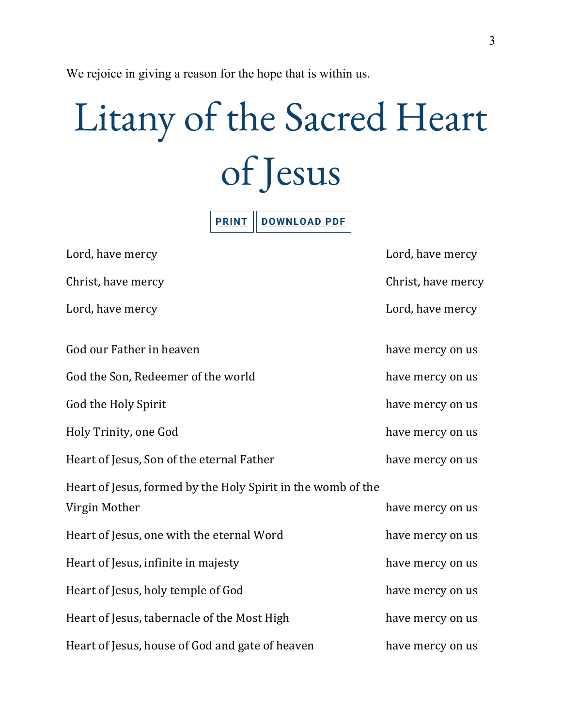We rejoice in giving a reason for the hope that is within us.

# Litany of the Sacred Heart of Jesus

**PRINT DOWNLOAD PDF**

| Lord, have mercy                                             | Lord, have mercy   |
|--------------------------------------------------------------|--------------------|
| Christ, have mercy                                           | Christ, have mercy |
| Lord, have mercy                                             | Lord, have mercy   |
| God our Father in heaven                                     | have mercy on us   |
| God the Son, Redeemer of the world                           | have mercy on us   |
| God the Holy Spirit                                          | have mercy on us   |
| Holy Trinity, one God                                        | have mercy on us   |
| Heart of Jesus, Son of the eternal Father                    | have mercy on us   |
| Heart of Jesus, formed by the Holy Spirit in the womb of the |                    |
| Virgin Mother                                                | have mercy on us   |
| Heart of Jesus, one with the eternal Word                    | have mercy on us   |
| Heart of Jesus, infinite in majesty                          | have mercy on us   |
| Heart of Jesus, holy temple of God                           | have mercy on us   |
| Heart of Jesus, tabernacle of the Most High                  | have mercy on us   |
| Heart of Jesus, house of God and gate of heaven              | have mercy on us   |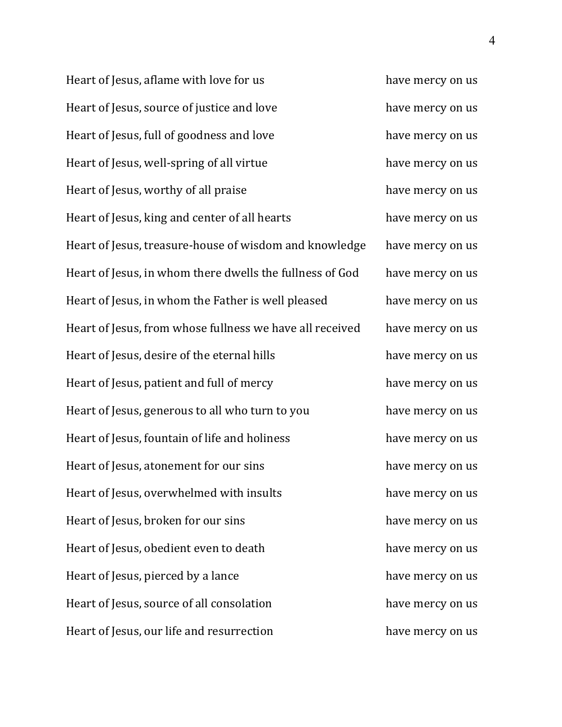Heart of Jesus, aflame with love for us have mercy on us have mercy on us Heart of Jesus, source of justice and love have mercy on us Heart of Jesus, full of goodness and love have mercy on us Heart of Jesus, well-spring of all virtue have mercy on us Heart of Jesus, worthy of all praise have mercy on us have mercy on us Heart of Jesus, king and center of all hearts have mercy on us Heart of Jesus, treasure-house of wisdom and knowledge have mercy on us Heart of Jesus, in whom there dwells the fullness of God have mercy on us Heart of Jesus, in whom the Father is well pleased have mercy on us Heart of Jesus, from whose fullness we have all received have mercy on us Heart of Jesus, desire of the eternal hills have mercy on us Heart of Jesus, patient and full of mercy have mercy on us Heart of Jesus, generous to all who turn to you have mercy on us Heart of Jesus, fountain of life and holiness have mercy on us Heart of Jesus, atonement for our sins have mercy on us Heart of Jesus, overwhelmed with insults have mercy on us Heart of Jesus, broken for our sins have mercy on us Heart of Jesus, obedient even to death have mercy on us Heart of Jesus, pierced by a lance have mercy on us have mercy on us Heart of Jesus, source of all consolation have mercy on us Heart of Jesus, our life and resurrection have mercy on us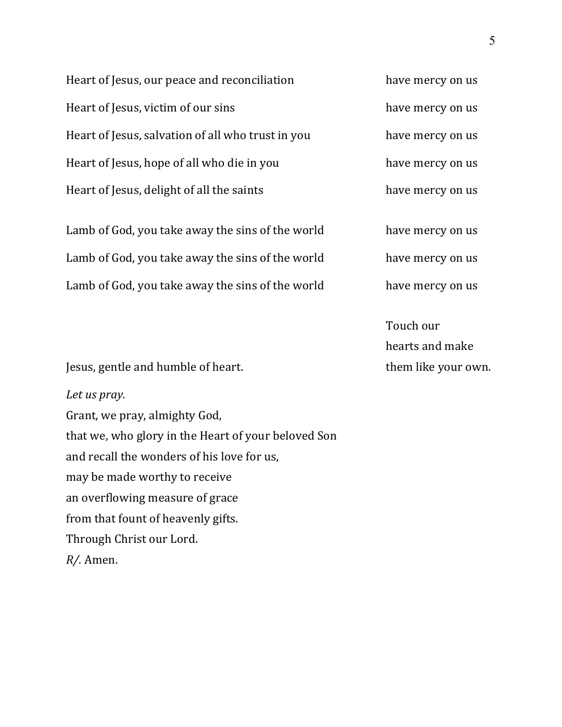Heart of Jesus, our peace and reconciliation have mercy on us Heart of Jesus, victim of our sins have mercy on us Heart of Jesus, salvation of all who trust in you have mercy on us Heart of Jesus, hope of all who die in you have mercy on us Heart of Jesus, delight of all the saints have mercy on us

Lamb of God, you take away the sins of the world have mercy on us Lamb of God, you take away the sins of the world have mercy on us Lamb of God, you take away the sins of the world have mercy on us

Touch our hearts and make them like your own.

Jesus, gentle and humble of heart.

#### *Let us pray.*

Grant, we pray, almighty God, that we, who glory in the Heart of your beloved Son and recall the wonders of his love for us, may be made worthy to receive an overflowing measure of grace from that fount of heavenly gifts. Through Christ our Lord. *R/.* Amen.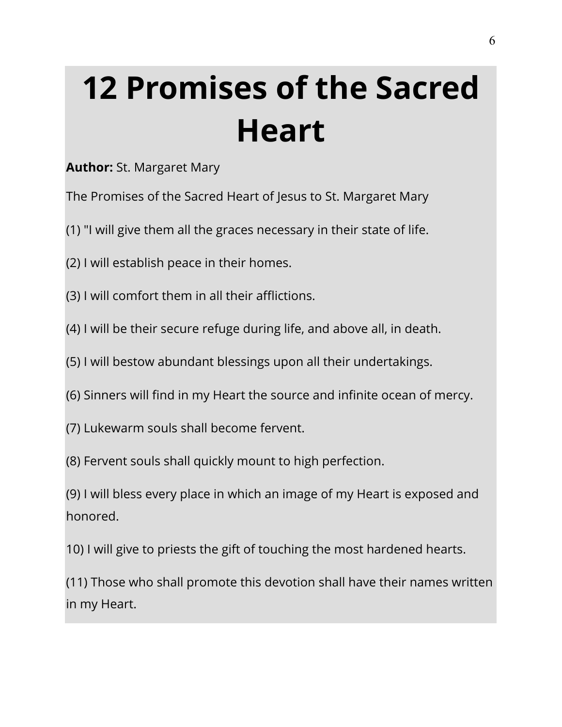## **12 Promises of the Sacred Heart**

#### **Author:** St. Margaret Mary

The Promises of the Sacred Heart of Jesus to St. Margaret Mary

- (1) "I will give them all the graces necessary in their state of life.
- (2) I will establish peace in their homes.
- (3) I will comfort them in all their afflictions.
- (4) I will be their secure refuge during life, and above all, in death.
- (5) I will bestow abundant blessings upon all their undertakings.
- (6) Sinners will find in my Heart the source and infinite ocean of mercy.
- (7) Lukewarm souls shall become fervent.
- (8) Fervent souls shall quickly mount to high perfection.

(9) I will bless every place in which an image of my Heart is exposed and honored.

10) I will give to priests the gift of touching the most hardened hearts.

(11) Those who shall promote this devotion shall have their names written in my Heart.